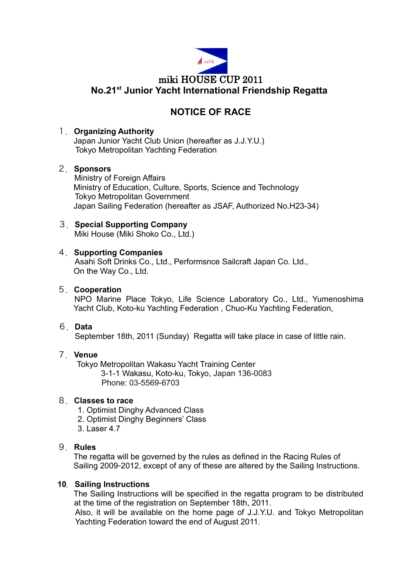

## **NOTICE OF RACE**

#### 1.**Organizing Authority**

Japan Junior Yacht Club Union (hereafter as J.J.Y.U.) Tokyo Metropolitan Yachting Federation

## 2.**Sponsors**

Ministry of Foreign Affairs Ministry of Education, Culture, Sports, Science and Technology Tokyo Metropolitan Government Japan Sailing Federation (hereafter as JSAF, Authorized No.H23-34)

## 3.**Special Supporting Company**

Miki House (Miki Shoko Co., Ltd.)

## 4.**Supporting Companies**

Asahi Soft Drinks Co., Ltd., Performsnce Sailcraft Japan Co. Ltd., On the Way Co., Ltd.

## 5.**Cooperation**

NPO Marine Place Tokyo, Life Science Laboratory Co., Ltd., Yumenoshima Yacht Club, Koto-ku Yachting Federation , Chuo-Ku Yachting Federation,

#### 6.**Data**

September 18th, 2011 (Sunday) Regatta will take place in case of little rain.

## 7.**Venue**

Tokyo Metropolitan Wakasu Yacht Training Center 3-1-1 Wakasu, Koto-ku, Tokyo, Japan 136-0083 Phone: 03-5569-6703

## 8.**Classes to race**

1. Optimist Dinghy Advanced Class

- 2. Optimist Dinghy Beginners' Class
- 3. Laser 4.7

## 9.**Rules**

The regatta will be governed by the rules as defined in the Racing Rules of Sailing 2009-2012, except of any of these are altered by the Sailing Instructions.

#### **10**.**Sailing Instructions**

The Sailing Instructions will be specified in the regatta program to be distributed at the time of the registration on September 18th, 2011.

Also, it will be available on the home page of J.J.Y.U. and Tokyo Metropolitan Yachting Federation toward the end of August 2011.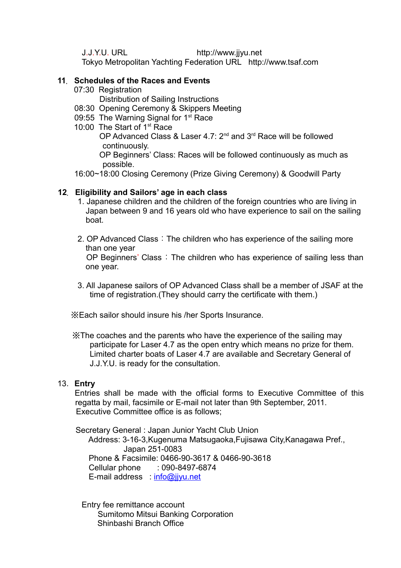J.J.Y.U. URL http://www.jjyu.net

Tokyo Metropolitan Yachting Federation URL http://www.tsaf.com

## **11**.**Schedules of the Races and Events**

07:30 Registration

Distribution of Sailing Instructions

- 08:30 Opening Ceremony & Skippers Meeting
- 09:55 The Warning Signal for 1<sup>st</sup> Race
- 10:00 The Start of 1<sup>st</sup> Race

OP Advanced Class & Laser 4.7: 2<sup>nd</sup> and 3<sup>rd</sup> Race will be followed continuously.

OP Beginners' Class: Races will be followed continuously as much as possible.

16:00~18:00 Closing Ceremony (Prize Giving Ceremony) & Goodwill Party

## **12**.**Eligibility and Sailors' age in each class**

- 1. Japanese children and the children of the foreign countries who are living in Japan between 9 and 16 years old who have experience to sail on the sailing boat.
- 2. OP Advanced Class: The children who has experience of the sailing more than one year OP Beginners' Class: The children who has experience of sailing less than one year.
- 3. All Japanese sailors of OP Advanced Class shall be a member of JSAF at the time of registration.(They should carry the certificate with them.)

※Each sailor should insure his /her Sports Insurance.

 ※The coaches and the parents who have the experience of the sailing may participate for Laser 4.7 as the open entry which means no prize for them. Limited charter boats of Laser 4.7 are available and Secretary General of J.J.Y.U. is ready for the consultation.

#### 13.**Entry**

Entries shall be made with the official forms to Executive Committee of this regatta by mail, facsimile or E-mail not later than 9th September, 2011. Executive Committee office is as follows;

Secretary General : Japan Junior Yacht Club Union Address: 3-16-3,Kugenuma Matsugaoka,Fujisawa City,Kanagawa Pref., Japan 251-0083 Phone & Facsimile: 0466-90-3617 & 0466-90-3618 Cellular phone : 090-8497-6874 E-mail address [info@jjyu.net](mailto:info@jjyu.net)

**Entry fee remittance account** Sumitomo Mitsui Banking Corporation Shinbashi Branch Office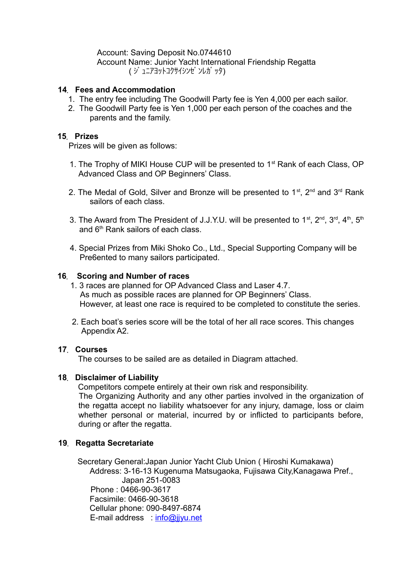#### Account: Saving Deposit No.0744610

 Account Name: Junior Yacht International Friendship Regatta ( ジ ュニアヨットコクサイシンゼ ンレガ ッタ)

#### **14**.**Fees and Accommodation**

- 1. The entry fee including The Goodwill Party fee is Yen 4,000 per each sailor.
- 2. The Goodwill Party fee is Yen 1,000 per each person of the coaches and the parents and the family.

#### **15**.**Prizes**

Prizes will be given as follows:

- 1. The Trophy of MIKI House CUP will be presented to 1<sup>st</sup> Rank of each Class, OP Advanced Class and OP Beginners' Class.
- 2. The Medal of Gold, Silver and Bronze will be presented to  $1<sup>st</sup>$ ,  $2<sup>nd</sup>$  and  $3<sup>rd</sup>$  Rank sailors of each class.
- 3. The Award from The President of J.J.Y.U. will be presented to  $1^{st}$ ,  $2^{nd}$ ,  $3^{rd}$ ,  $4^{th}$ ,  $5^{th}$ and 6<sup>th</sup> Rank sailors of each class.
- 4. Special Prizes from Miki Shoko Co., Ltd., Special Supporting Company will be Pre6ented to many sailors participated.

#### **16**. **Scoring and Number of races**

- 1. 3 races are planned for OP Advanced Class and Laser 4.7. As much as possible races are planned for OP Beginners' Class. However, at least one race is required to be completed to constitute the series.
- 2. Each boat's series score will be the total of her all race scores. This changes Appendix A2.

#### **17**.**Courses**

The courses to be sailed are as detailed in Diagram attached.

#### **18**.**Disclaimer of Liability**

Competitors compete entirely at their own risk and responsibility. The Organizing Authority and any other parties involved in the organization of the regatta accept no liability whatsoever for any injury, damage, loss or claim whether personal or material, incurred by or inflicted to participants before, during or after the regatta.

#### **19**.**Regatta Secretariate**

Secretary General:Japan Junior Yacht Club Union ( Hiroshi Kumakawa)

Address: 3-16-13 Kugenuma Matsugaoka, Fujisawa City,Kanagawa Pref., Japan 251-0083 Phone : 0466-90-3617 Facsimile: 0466-90-3618 Cellular phone: 090-8497-6874 E-mail address [info@jjyu.net](mailto:info@jjyu.net)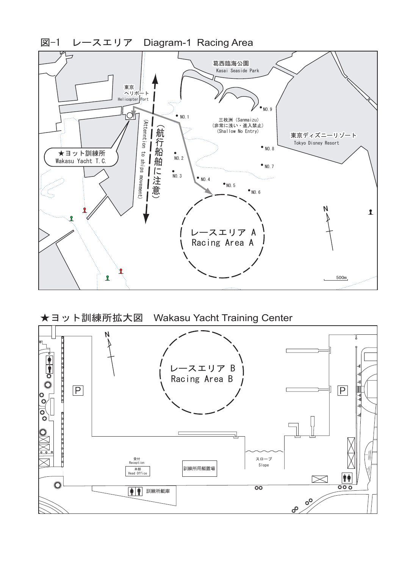

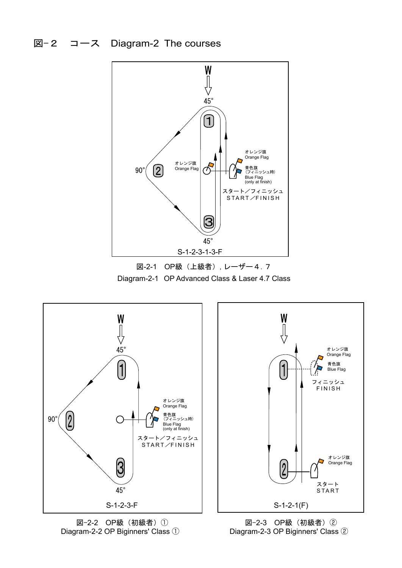# 図-2 コース Diagram-2 The courses







図-2-2 OP級(初級者)① Diagram-2-2 OP Biginners' Class ①



オレンジ旗 Orange Flag 青色旗 Blue Flag

オレンジ旗 Orange Flag

スタート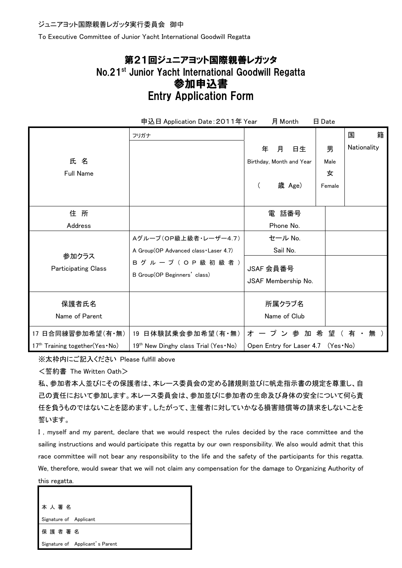To Executive Committee of Junior Yacht International Goodwill Regatta

# 第21回ジュニアヨット国際親善レガッタ No.21st Junior Yacht International Goodwill Regatta 参加申込書 Entry Application Form

| 申込日 Application Date: 2011年 Year<br>月 Month<br>日 Date |                                                           |                                     |                  |   |
|-------------------------------------------------------|-----------------------------------------------------------|-------------------------------------|------------------|---|
|                                                       | フリガナ                                                      |                                     | 国                | 籍 |
| 氏名                                                    |                                                           | 年<br>月<br>日生                        | Nationality<br>男 |   |
|                                                       |                                                           | Birthday, Month and Year            | Male             |   |
| <b>Full Name</b>                                      |                                                           |                                     | 女                |   |
|                                                       |                                                           | 歳 Age)<br>(                         | Female           |   |
|                                                       |                                                           |                                     |                  |   |
| 住所                                                    |                                                           | 電 話番号                               |                  |   |
| Address                                               |                                                           | Phone No.                           |                  |   |
|                                                       | Aグループ(OP級上級者·レーザー4.7)                                     | セール No.                             |                  |   |
| 参加クラス<br><b>Participating Class</b>                   | A Group(OP Advanced class · Laser 4.7)                    | Sail No.                            |                  |   |
|                                                       | B グ ル ー プ ( O P 級 初 級 者 )<br>B Group(OP Beginners' class) | JSAF 会員番号                           |                  |   |
|                                                       |                                                           | JSAF Membership No.                 |                  |   |
|                                                       |                                                           |                                     |                  |   |
| 保護者氏名                                                 |                                                           | 所属クラブ名                              |                  |   |
| Name of Parent                                        |                                                           | Name of Club                        |                  |   |
| 17 日合同練習参加希望(有·無)                                     | 19 日体験試乗会参加希望(有・無)                                        | オ ー プ ン 参 加 希 望 ( 有 ・               | 無)               |   |
| 17 <sup>th</sup> Training together(Yes · No)          | 19th New Dinghy class Trial (Yes No)                      | Open Entry for Laser 4.7 (Yes · No) |                  |   |

※太枠内にご記入ください Please fulfill above

<誓約書 The Written Oath>

私、参加者本人並びにその保護者は、本レース委員会の定める諸規則並びに帆走指示書の規定を尊重し、自 己の責任において参加します。本レース委員会は、参加並びに参加者の生命及び身体の安全について何ら責 任を負うものではないことを認めます。したがって、主催者に対していかなる損害賠償等の請求をしないことを 誓います。

I , myself and my parent, declare that we would respect the rules decided by the race committee and the sailing instructions and would participate this regatta by our own responsibility. We also would admit that this race committee will not bear any responsibility to the life and the safety of the participants for this regatta. We, therefore, would swear that we will not claim any compensation for the damage to Organizing Authority of this regatta.

本 人 署 名 Signature of Applicant 保 護 者 署 名 Signature of Applicant's Parent